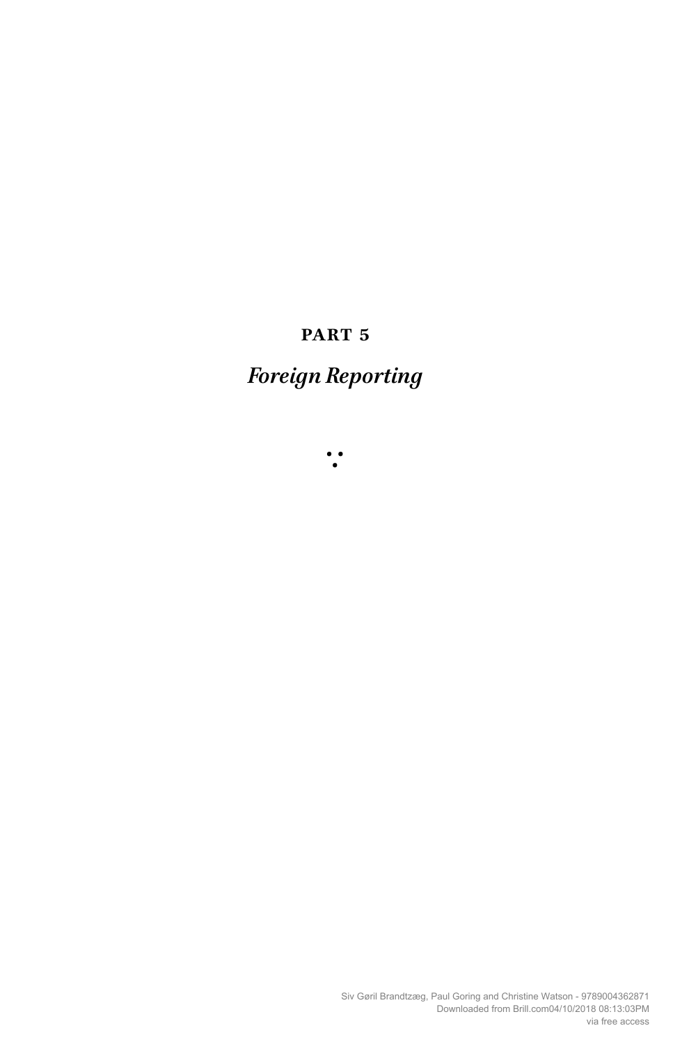## **Part 5**

# *Foreign Reporting*

∵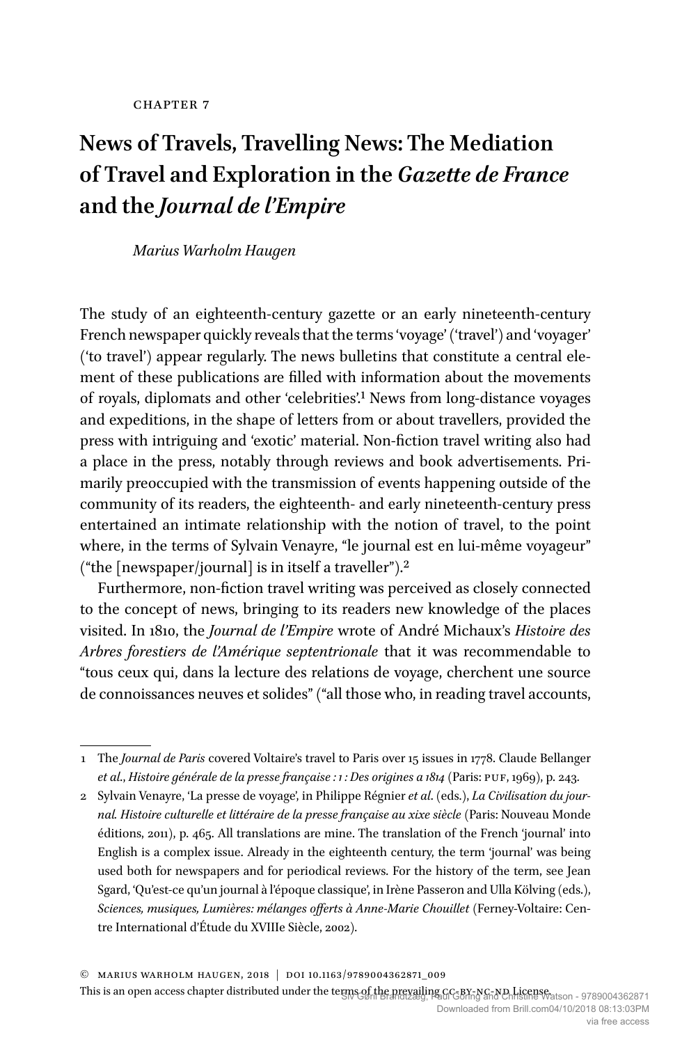## **News of Travels, Travelling News: The Mediation of Travel and Exploration in the** *Gazette de France* **and the** *Journal de l'Empire*

*Marius Warholm Haugen*

The study of an eighteenth-century gazette or an early nineteenth-century French newspaper quickly reveals that the terms 'voyage' ('travel') and 'voyager' ('to travel') appear regularly. The news bulletins that constitute a central element of these publications are filled with information about the movements of royals, diplomats and other 'celebrities'[.1](#page-2-0) News from long-distance voyages and expeditions, in the shape of letters from or about travellers, provided the press with intriguing and 'exotic' material. Non-fiction travel writing also had a place in the press, notably through reviews and book advertisements. Primarily preoccupied with the transmission of events happening outside of the community of its readers, the eighteenth- and early nineteenth-century press entertained an intimate relationship with the notion of travel, to the point where, in the terms of Sylvain Venayre, "le journal est en lui-même voyageur" ("the [newspaper/journal] is in itself a traveller")[.2](#page-2-1)

Furthermore, non-fiction travel writing was perceived as closely connected to the concept of news, bringing to its readers new knowledge of the places visited. In 1810, the *Journal de l'Empire* wrote of André Michaux's *Histoire des Arbres forestiers de l'Amérique septentrionale* that it was recommendable to "tous ceux qui, dans la lecture des relations de voyage, cherchent une source de connoissances neuves et solides" ("all those who, in reading travel accounts,

© marius warholm haugen, ���8 | doi 10.1163/9789004362871\_009

This is an open access chapter distributed under the tegns of the prevailing GC5BYnNG-name. License watson - 9789004362871 Downloaded from Brill.com04/10/2018 08:13:03PM via free access

<span id="page-2-0"></span><sup>1</sup> The *Journal de Paris* covered Voltaire's travel to Paris over 15 issues in 1778. Claude Bellanger *et al*., *Histoire générale de la presse française : 1 : Des origines a 1814* (Paris: puf, 1969), p. 243.

<span id="page-2-1"></span><sup>2</sup> Sylvain Venayre, 'La presse de voyage', in Philippe Régnier *et al*. (eds.), *La Civilisation du journal. Histoire culturelle et littéraire de la presse française au xixe siècle* (Paris: Nouveau Monde éditions, 2011), p. 465. All translations are mine. The translation of the French 'journal' into English is a complex issue. Already in the eighteenth century, the term 'journal' was being used both for newspapers and for periodical reviews. For the history of the term, see Jean Sgard, 'Qu'est-ce qu'un journal à l'époque classique', in Irène Passeron and Ulla Kölving (eds.), *Sciences, musiques, Lumières: mélanges offerts à Anne-Marie Chouillet* (Ferney-Voltaire: Centre International d'Étude du XVIIIe Siècle, 2002).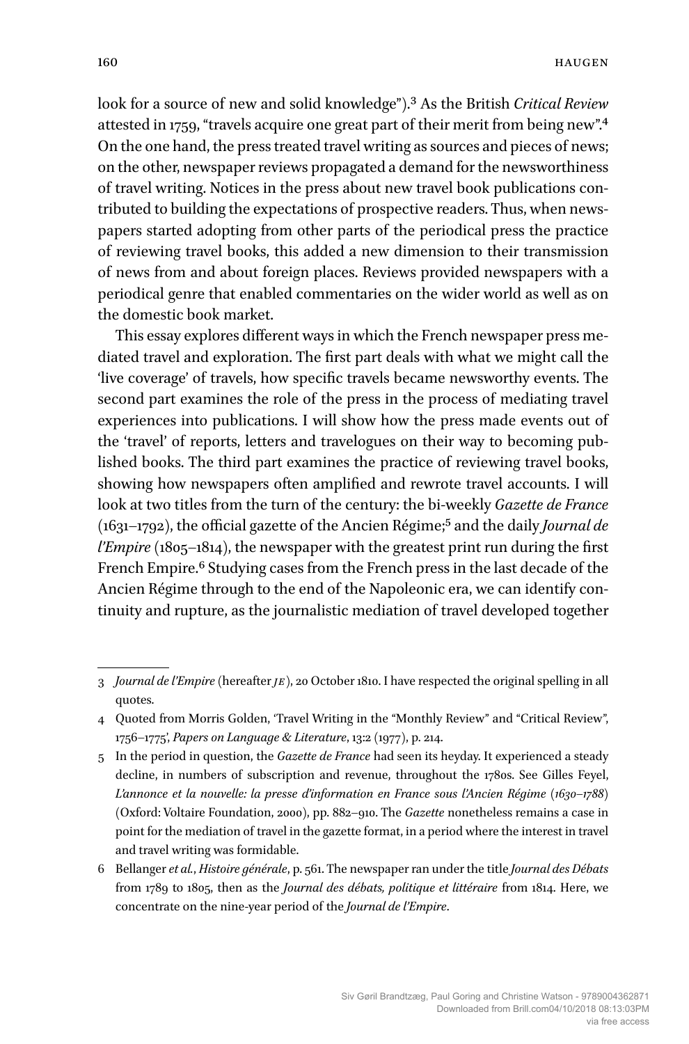look for a source of new and solid knowledge").[3](#page-3-0) As the British *Critical Review* attested in 1759, "travels acquire one great part of their merit from being new"[.4](#page-3-1) On the one hand, the press treated travel writing as sources and pieces of news; on the other, newspaper reviews propagated a demand for the newsworthiness of travel writing. Notices in the press about new travel book publications contributed to building the expectations of prospective readers. Thus, when newspapers started adopting from other parts of the periodical press the practice of reviewing travel books, this added a new dimension to their transmission of news from and about foreign places. Reviews provided newspapers with a periodical genre that enabled commentaries on the wider world as well as on the domestic book market.

This essay explores different ways in which the French newspaper press mediated travel and exploration. The first part deals with what we might call the 'live coverage' of travels, how specific travels became newsworthy events. The second part examines the role of the press in the process of mediating travel experiences into publications. I will show how the press made events out of the 'travel' of reports, letters and travelogues on their way to becoming published books. The third part examines the practice of reviewing travel books, showing how newspapers often amplified and rewrote travel accounts. I will look at two titles from the turn of the century: the bi-weekly *Gazette de France* (1631–1792), the official gazette of the Ancien Régime[;5](#page-3-2) and the daily *Journal de l'Empire* (1805–1814), the newspaper with the greatest print run during the first French Empire.<sup>6</sup> Studying cases from the French press in the last decade of the Ancien Régime through to the end of the Napoleonic era, we can identify continuity and rupture, as the journalistic mediation of travel developed together

<span id="page-3-0"></span><sup>3</sup> *Journal de l'Empire* (hereafter *je*), 20 October 1810. I have respected the original spelling in all quotes.

<span id="page-3-1"></span><sup>4</sup> Quoted from Morris Golden, 'Travel Writing in the "Monthly Review" and "Critical Review", 1756–1775', *Papers on Language & Literature*, 13:2 (1977), p. 214.

<span id="page-3-2"></span><sup>5</sup> In the period in question, the *Gazette de France* had seen its heyday. It experienced a steady decline, in numbers of subscription and revenue, throughout the 1780s. See Gilles Feyel, *L'annonce et la nouvelle: la presse d'information en France sous l'Ancien Régime (1630–1788)* (Oxford: Voltaire Foundation, 2000), pp. 882–910. The *Gazette* nonetheless remains a case in point for the mediation of travel in the gazette format, in a period where the interest in travel and travel writing was formidable.

<span id="page-3-3"></span><sup>6</sup> Bellanger *et al.*, *Histoire générale*, p. 561. The newspaper ran under the title *Journal des Débats* from 1789 to 1805, then as the *Journal des débats, politique et littéraire* from 1814. Here, we concentrate on the nine-year period of the *Journal de l'Empire*.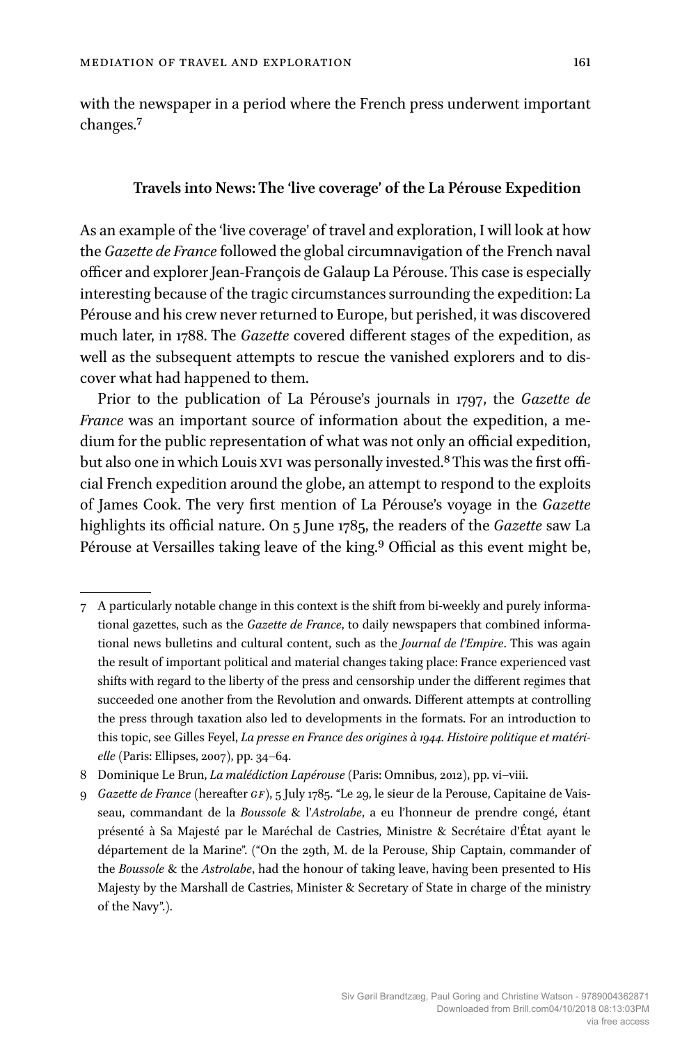with the newspaper in a period where the French press underwent important changes[.7](#page-4-0)

#### **Travels into News: The 'live coverage' of the La Pérouse Expedition**

As an example of the 'live coverage' of travel and exploration, I will look at how the *Gazette de France* followed the global circumnavigation of the French naval officer and explorer Jean-François de Galaup La Pérouse. This case is especially interesting because of the tragic circumstances surrounding the expedition: La Pérouse and his crew never returned to Europe, but perished, it was discovered much later, in 1788. The *Gazette* covered different stages of the expedition, as well as the subsequent attempts to rescue the vanished explorers and to discover what had happened to them.

Prior to the publication of La Pérouse's journals in 1797, the *Gazette de France* was an important source of information about the expedition, a medium for the public representation of what was not only an official expedition, but also one in which Louis XVI was personally invested.<sup>8</sup> This was the first official French expedition around the globe, an attempt to respond to the exploits of James Cook. The very first mention of La Pérouse's voyage in the *Gazette* highlights its official nature. On 5 June 1785, the readers of the *Gazette* saw La Pérouse at Versailles taking leave of the king.<sup>9</sup> Official as this event might be,

<span id="page-4-0"></span><sup>7</sup> A particularly notable change in this context is the shift from bi-weekly and purely informational gazettes, such as the *Gazette de France*, to daily newspapers that combined informational news bulletins and cultural content, such as the *Journal de l'Empire*. This was again the result of important political and material changes taking place: France experienced vast shifts with regard to the liberty of the press and censorship under the different regimes that succeeded one another from the Revolution and onwards. Different attempts at controlling the press through taxation also led to developments in the formats. For an introduction to this topic, see Gilles Feyel, *La presse en France des origines à 1944. Histoire politique et matérielle* (Paris: Ellipses, 2007), pp. 34–64.

<span id="page-4-1"></span><sup>8</sup> Dominique Le Brun, *La malédiction Lapérouse* (Paris: Omnibus, 2012), pp. vi–viii.

<span id="page-4-2"></span><sup>9</sup> *Gazette de France* (hereafter *gf*), 5 July 1785. "Le 29, le sieur de la Perouse, Capitaine de Vaisseau, commandant de la *Boussole* & l'*Astrolabe*, a eu l'honneur de prendre congé, étant présenté à Sa Majesté par le Maréchal de Castries, Ministre & Secrétaire d'État ayant le département de la Marine". ("On the 29th, M. de la Perouse, Ship Captain, commander of the *Boussole* & the *Astrolabe*, had the honour of taking leave, having been presented to His Majesty by the Marshall de Castries, Minister & Secretary of State in charge of the ministry of the Navy".).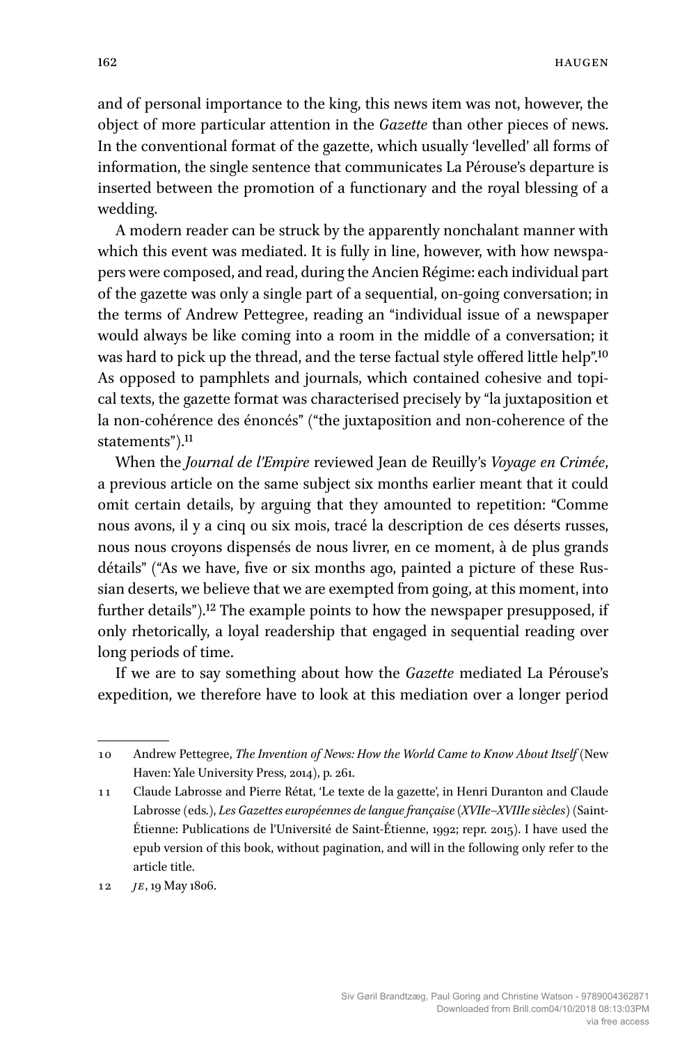and of personal importance to the king, this news item was not, however, the object of more particular attention in the *Gazette* than other pieces of news. In the conventional format of the gazette, which usually 'levelled' all forms of information, the single sentence that communicates La Pérouse's departure is

wedding. A modern reader can be struck by the apparently nonchalant manner with which this event was mediated. It is fully in line, however, with how newspapers were composed, and read, during the Ancien Régime: each individual part of the gazette was only a single part of a sequential, on-going conversation; in the terms of Andrew Pettegree, reading an "individual issue of a newspaper would always be like coming into a room in the middle of a conversation; it was hard to pick up the thread, and the terse factual style offered little help"[.10](#page-5-0) As opposed to pamphlets and journals, which contained cohesive and topical texts, the gazette format was characterised precisely by "la juxtaposition et la non-cohérence des énoncés" ("the juxtaposition and non-coherence of the statements").<sup>[11](#page-5-1)</sup>

inserted between the promotion of a functionary and the royal blessing of a

When the *Journal de l'Empire* reviewed Jean de Reuilly's *Voyage en Crimée*, a previous article on the same subject six months earlier meant that it could omit certain details, by arguing that they amounted to repetition: "Comme nous avons, il y a cinq ou six mois, tracé la description de ces déserts russes, nous nous croyons dispensés de nous livrer, en ce moment, à de plus grands détails" ("As we have, five or six months ago, painted a picture of these Russian deserts, we believe that we are exempted from going, at this moment, into further details").<sup>12</sup> The example points to how the newspaper presupposed, if only rhetorically, a loyal readership that engaged in sequential reading over long periods of time.

If we are to say something about how the *Gazette* mediated La Pérouse's expedition, we therefore have to look at this mediation over a longer period

<span id="page-5-0"></span><sup>10</sup> Andrew Pettegree, *The Invention of News: How the World Came to Know About Itself* (New Haven: Yale University Press, 2014), p. 261.

<span id="page-5-1"></span><sup>11</sup> Claude Labrosse and Pierre Rétat, 'Le texte de la gazette', in Henri Duranton and Claude Labrosse (eds.), *Les Gazettes européennes de langue française (XVIIe–XVIIIe siècles)* (Saint-Étienne: Publications de l'Université de Saint-Étienne, 1992; repr. 2015). I have used the epub version of this book, without pagination, and will in the following only refer to the article title.

<span id="page-5-2"></span><sup>12</sup> *je*, 19 May 1806.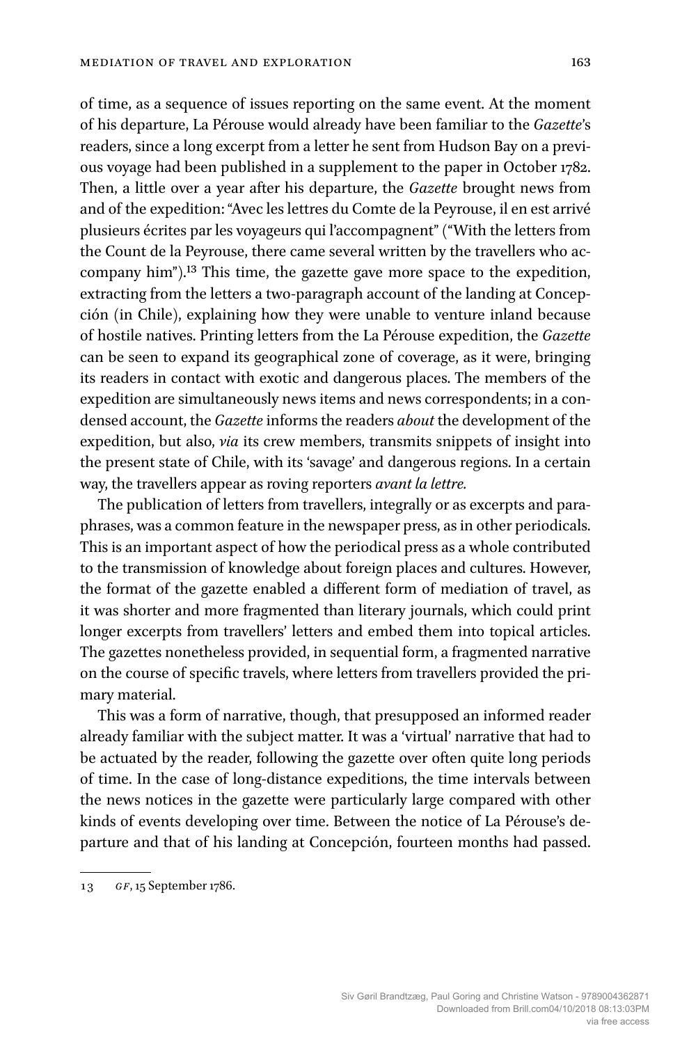of time, as a sequence of issues reporting on the same event. At the moment of his departure, La Pérouse would already have been familiar to the *Gazette*'s readers, since a long excerpt from a letter he sent from Hudson Bay on a previous voyage had been published in a supplement to the paper in October 1782. Then, a little over a year after his departure, the *Gazette* brought news from and of the expedition: "Avec les lettres du Comte de la Peyrouse, il en est arrivé plusieurs écrites par les voyageurs qui l'accompagnent" ("With the letters from the Count de la Peyrouse, there came several written by the travellers who accompany him")[.13](#page-6-0) This time, the gazette gave more space to the expedition, extracting from the letters a two-paragraph account of the landing at Concepción (in Chile), explaining how they were unable to venture inland because of hostile natives. Printing letters from the La Pérouse expedition, the *Gazette* can be seen to expand its geographical zone of coverage, as it were, bringing its readers in contact with exotic and dangerous places. The members of the expedition are simultaneously news items and news correspondents; in a condensed account, the *Gazette* informs the readers *about* the development of the expedition, but also, *via* its crew members, transmits snippets of insight into the present state of Chile, with its 'savage' and dangerous regions. In a certain way, the travellers appear as roving reporters *avant la lettre.*

The publication of letters from travellers, integrally or as excerpts and paraphrases, was a common feature in the newspaper press, as in other periodicals. This is an important aspect of how the periodical press as a whole contributed to the transmission of knowledge about foreign places and cultures. However, the format of the gazette enabled a different form of mediation of travel, as it was shorter and more fragmented than literary journals, which could print longer excerpts from travellers' letters and embed them into topical articles. The gazettes nonetheless provided, in sequential form, a fragmented narrative on the course of specific travels, where letters from travellers provided the primary material.

This was a form of narrative, though, that presupposed an informed reader already familiar with the subject matter. It was a 'virtual' narrative that had to be actuated by the reader, following the gazette over often quite long periods of time. In the case of long-distance expeditions, the time intervals between the news notices in the gazette were particularly large compared with other kinds of events developing over time. Between the notice of La Pérouse's departure and that of his landing at Concepción, fourteen months had passed.

<span id="page-6-0"></span><sup>13</sup> *gf*, 15 September 1786.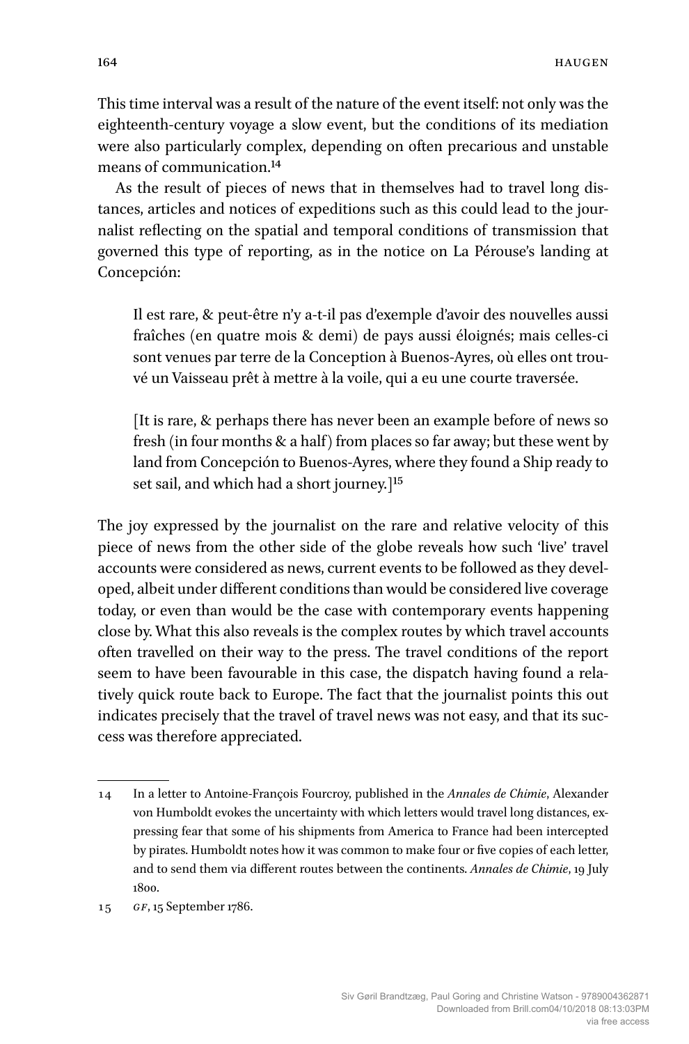This time interval was a result of the nature of the event itself: not only was the eighteenth-century voyage a slow event, but the conditions of its mediation were also particularly complex, depending on often precarious and unstable means of communication.[14](#page-7-0)

As the result of pieces of news that in themselves had to travel long distances, articles and notices of expeditions such as this could lead to the journalist reflecting on the spatial and temporal conditions of transmission that governed this type of reporting, as in the notice on La Pérouse's landing at Concepción:

Il est rare, & peut-être n'y a-t-il pas d'exemple d'avoir des nouvelles aussi fraîches (en quatre mois & demi) de pays aussi éloignés; mais celles-ci sont venues par terre de la Conception à Buenos-Ayres, où elles ont trouvé un Vaisseau prêt à mettre à la voile, qui a eu une courte traversée.

[It is rare, & perhaps there has never been an example before of news so fresh (in four months & a half) from places so far away; but these went by land from Concepción to Buenos-Ayres, where they found a Ship ready to set sail, and which had a short journey.<sup>[[15](#page-7-1)]</sup>

The joy expressed by the journalist on the rare and relative velocity of this piece of news from the other side of the globe reveals how such 'live' travel accounts were considered as news, current events to be followed as they developed, albeit under different conditions than would be considered live coverage today, or even than would be the case with contemporary events happening close by. What this also reveals is the complex routes by which travel accounts often travelled on their way to the press. The travel conditions of the report seem to have been favourable in this case, the dispatch having found a relatively quick route back to Europe. The fact that the journalist points this out indicates precisely that the travel of travel news was not easy, and that its success was therefore appreciated.

<span id="page-7-0"></span><sup>14</sup> In a letter to Antoine-François Fourcroy, published in the *Annales de Chimie*, Alexander von Humboldt evokes the uncertainty with which letters would travel long distances, expressing fear that some of his shipments from America to France had been intercepted by pirates. Humboldt notes how it was common to make four or five copies of each letter, and to send them via different routes between the continents. *Annales de Chimie*, 19 July 1800.

<span id="page-7-1"></span><sup>15</sup> *gf*, 15 September 1786.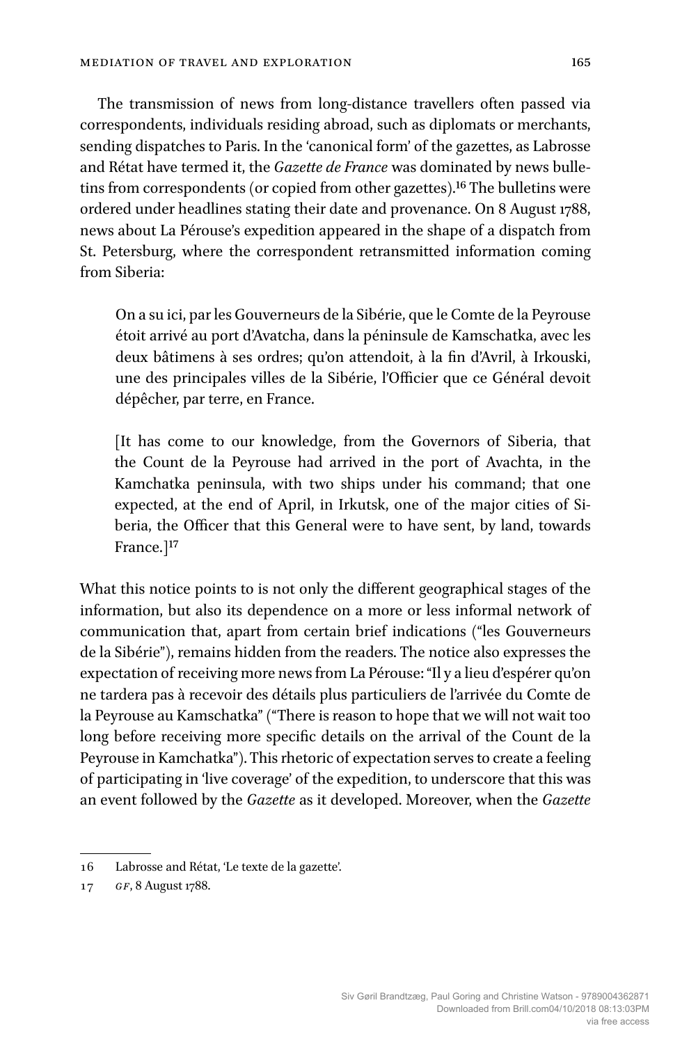The transmission of news from long-distance travellers often passed via correspondents, individuals residing abroad, such as diplomats or merchants, sending dispatches to Paris. In the 'canonical form' of the gazettes, as Labrosse and Rétat have termed it, the *Gazette de France* was dominated by news bulletins from correspondents (or copied from other gazettes).[16](#page-8-0) The bulletins were ordered under headlines stating their date and provenance. On 8 August 1788, news about La Pérouse's expedition appeared in the shape of a dispatch from St. Petersburg, where the correspondent retransmitted information coming from Siberia:

On a su ici, par les Gouverneurs de la Sibérie, que le Comte de la Peyrouse étoit arrivé au port d'Avatcha, dans la péninsule de Kamschatka, avec les deux bâtimens à ses ordres; qu'on attendoit, à la fin d'Avril, à Irkouski, une des principales villes de la Sibérie, l'Officier que ce Général devoit dépêcher, par terre, en France.

[It has come to our knowledge, from the Governors of Siberia, that the Count de la Peyrouse had arrived in the port of Avachta, in the Kamchatka peninsula, with two ships under his command; that one expected, at the end of April, in Irkutsk, one of the major cities of Siberia, the Officer that this General were to have sent, by land, towards France.][17](#page-8-1)

What this notice points to is not only the different geographical stages of the information, but also its dependence on a more or less informal network of communication that, apart from certain brief indications ("les Gouverneurs de la Sibérie"), remains hidden from the readers. The notice also expresses the expectation of receiving more news from La Pérouse: "Il y a lieu d'espérer qu'on ne tardera pas à recevoir des détails plus particuliers de l'arrivée du Comte de la Peyrouse au Kamschatka" ("There is reason to hope that we will not wait too long before receiving more specific details on the arrival of the Count de la Peyrouse in Kamchatka"). This rhetoric of expectation serves to create a feeling of participating in 'live coverage' of the expedition, to underscore that this was an event followed by the *Gazette* as it developed. Moreover, when the *Gazette*

<span id="page-8-0"></span><sup>16</sup> Labrosse and Rétat, 'Le texte de la gazette'.

<span id="page-8-1"></span><sup>17</sup> *gf*, 8 August 1788.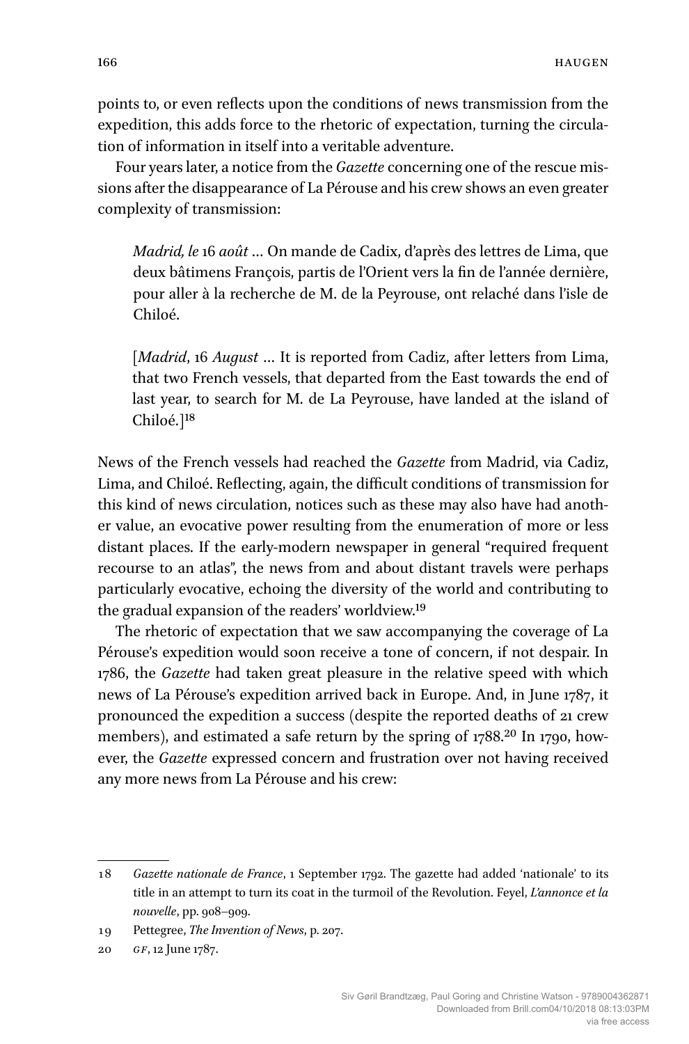points to, or even reflects upon the conditions of news transmission from the expedition, this adds force to the rhetoric of expectation, turning the circulation of information in itself into a veritable adventure.

Four years later, a notice from the *Gazette* concerning one of the rescue missions after the disappearance of La Pérouse and his crew shows an even greater complexity of transmission:

*Madrid, le* 16 *août* … On mande de Cadix, d'après des lettres de Lima, que deux bâtimens François, partis de l'Orient vers la fin de l'année dernière, pour aller à la recherche de M. de la Peyrouse, ont relaché dans l'isle de Chiloé.

[*Madrid*, 16 *August* … It is reported from Cadiz, after letters from Lima, that two French vessels, that departed from the East towards the end of last year, to search for M. de La Peyrouse, have landed at the island of Chiloé.][18](#page-9-0)

News of the French vessels had reached the *Gazette* from Madrid, via Cadiz, Lima, and Chiloé. Reflecting, again, the difficult conditions of transmission for this kind of news circulation, notices such as these may also have had another value, an evocative power resulting from the enumeration of more or less distant places. If the early-modern newspaper in general "required frequent recourse to an atlas", the news from and about distant travels were perhaps particularly evocative, echoing the diversity of the world and contributing to the gradual expansion of the readers' worldview[.19](#page-9-1)

The rhetoric of expectation that we saw accompanying the coverage of La Pérouse's expedition would soon receive a tone of concern, if not despair. In 1786, the *Gazette* had taken great pleasure in the relative speed with which news of La Pérouse's expedition arrived back in Europe. And, in June 1787, it pronounced the expedition a success (despite the reported deaths of 21 crew members), and estimated a safe return by the spring of 1788.<sup>20</sup> In 1790, however, the *Gazette* expressed concern and frustration over not having received any more news from La Pérouse and his crew:

<span id="page-9-0"></span><sup>18</sup> *Gazette nationale de France*, 1 September 1792. The gazette had added 'nationale' to its title in an attempt to turn its coat in the turmoil of the Revolution. Feyel, *L'annonce et la nouvelle*, pp. 908–909.

<span id="page-9-1"></span><sup>19</sup> Pettegree, *The Invention of News*, p. 207.

<span id="page-9-2"></span><sup>20</sup> *gf*, 12 June 1787.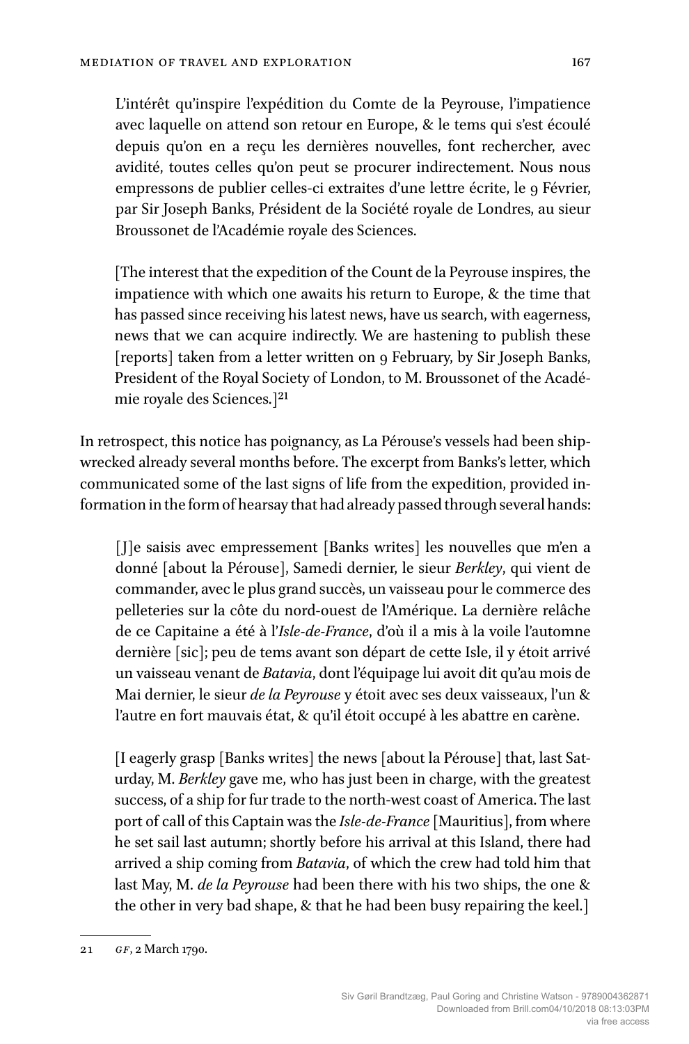L'intérêt qu'inspire l'expédition du Comte de la Peyrouse, l'impatience avec laquelle on attend son retour en Europe, & le tems qui s'est écoulé depuis qu'on en a reçu les dernières nouvelles, font rechercher, avec avidité, toutes celles qu'on peut se procurer indirectement. Nous nous empressons de publier celles-ci extraites d'une lettre écrite, le 9 Février, par Sir Joseph Banks, Président de la Société royale de Londres, au sieur Broussonet de l'Académie royale des Sciences.

[The interest that the expedition of the Count de la Peyrouse inspires, the impatience with which one awaits his return to Europe, & the time that has passed since receiving his latest news, have us search, with eagerness, news that we can acquire indirectly. We are hastening to publish these [reports] taken from a letter written on 9 February, by Sir Joseph Banks, President of the Royal Society of London, to M. Broussonet of the Académie royale des Sciences.[\]21](#page-10-0)

In retrospect, this notice has poignancy, as La Pérouse's vessels had been shipwrecked already several months before. The excerpt from Banks's letter, which communicated some of the last signs of life from the expedition, provided information in the form of hearsay that had already passed through several hands:

[J]e saisis avec empressement [Banks writes] les nouvelles que m'en a donné [about la Pérouse], Samedi dernier, le sieur *Berkley*, qui vient de commander, avec le plus grand succès, un vaisseau pour le commerce des pelleteries sur la côte du nord-ouest de l'Amérique. La dernière relâche de ce Capitaine a été à l'*Isle-de-France*, d'où il a mis à la voile l'automne dernière [sic]; peu de tems avant son départ de cette Isle, il y étoit arrivé un vaisseau venant de *Batavia*, dont l'équipage lui avoit dit qu'au mois de Mai dernier, le sieur *de la Peyrouse* y étoit avec ses deux vaisseaux, l'un & l'autre en fort mauvais état, & qu'il étoit occupé à les abattre en carène.

[I eagerly grasp [Banks writes] the news [about la Pérouse] that, last Saturday, M. *Berkley* gave me, who has just been in charge, with the greatest success, of a ship for fur trade to the north-west coast of America. The last port of call of this Captain was the *Isle-de-France* [Mauritius], from where he set sail last autumn; shortly before his arrival at this Island, there had arrived a ship coming from *Batavia*, of which the crew had told him that last May, M. *de la Peyrouse* had been there with his two ships, the one & the other in very bad shape, & that he had been busy repairing the keel.]

<span id="page-10-0"></span><sup>21</sup> *gf*, 2 March 1790.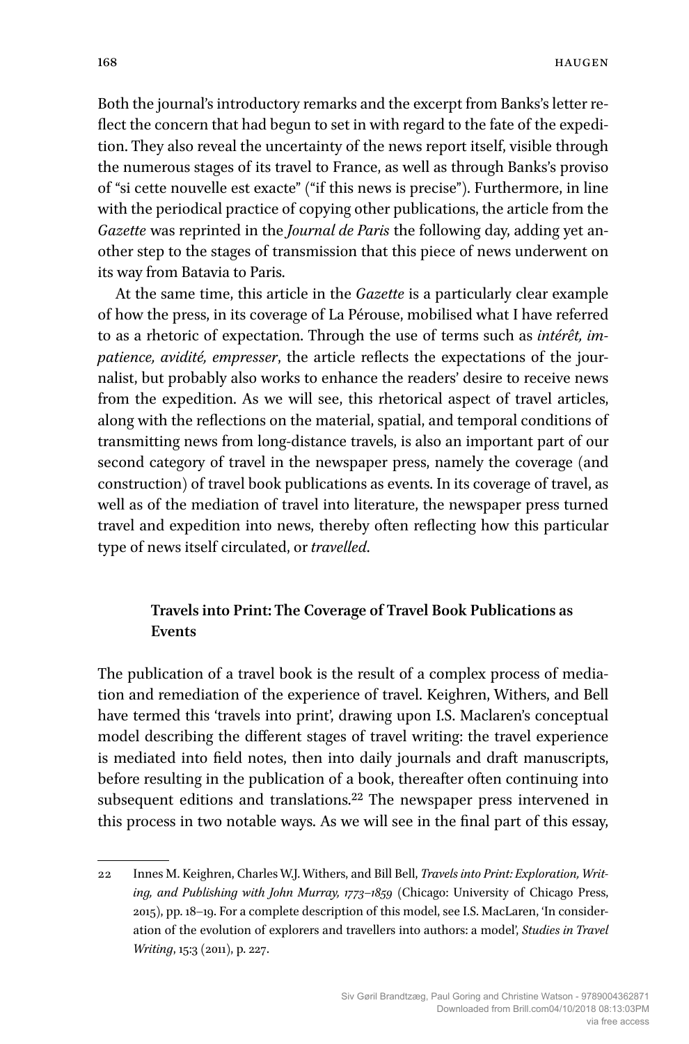Both the journal's introductory remarks and the excerpt from Banks's letter reflect the concern that had begun to set in with regard to the fate of the expedition. They also reveal the uncertainty of the news report itself, visible through the numerous stages of its travel to France, as well as through Banks's proviso of "si cette nouvelle est exacte" ("if this news is precise"). Furthermore, in line with the periodical practice of copying other publications, the article from the *Gazette* was reprinted in the *Journal de Paris* the following day, adding yet another step to the stages of transmission that this piece of news underwent on its way from Batavia to Paris.

At the same time, this article in the *Gazette* is a particularly clear example of how the press, in its coverage of La Pérouse, mobilised what I have referred to as a rhetoric of expectation. Through the use of terms such as *intérêt, impatience, avidité, empresser*, the article reflects the expectations of the journalist, but probably also works to enhance the readers' desire to receive news from the expedition. As we will see, this rhetorical aspect of travel articles, along with the reflections on the material, spatial, and temporal conditions of transmitting news from long-distance travels, is also an important part of our second category of travel in the newspaper press, namely the coverage (and construction) of travel book publications as events. In its coverage of travel, as well as of the mediation of travel into literature, the newspaper press turned travel and expedition into news, thereby often reflecting how this particular type of news itself circulated, or *travelled*.

### **Travels into Print: The Coverage of Travel Book Publications as Events**

The publication of a travel book is the result of a complex process of mediation and remediation of the experience of travel. Keighren, Withers, and Bell have termed this 'travels into print', drawing upon I.S. Maclaren's conceptual model describing the different stages of travel writing: the travel experience is mediated into field notes, then into daily journals and draft manuscripts, before resulting in the publication of a book, thereafter often continuing into subsequent editions and translations.<sup>22</sup> The newspaper press intervened in this process in two notable ways. As we will see in the final part of this essay,

<span id="page-11-0"></span><sup>22</sup> Innes M. Keighren, Charles W.J. Withers, and Bill Bell, *Travels into Print: Exploration, Writing, and Publishing with John Murray, 1773–1859* (Chicago: University of Chicago Press, 2015), pp. 18–19. For a complete description of this model, see I.S. MacLaren, 'In consideration of the evolution of explorers and travellers into authors: a model', *Studies in Travel Writing*, 15:3 (2011), p. 227.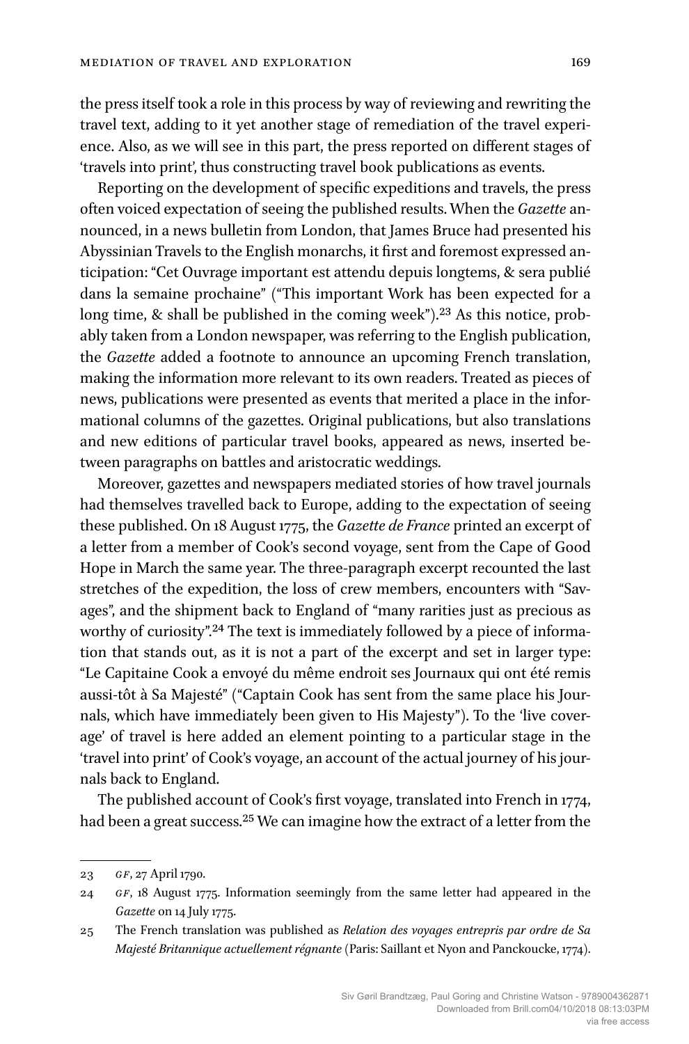the press itself took a role in this process by way of reviewing and rewriting the travel text, adding to it yet another stage of remediation of the travel experience. Also, as we will see in this part, the press reported on different stages of 'travels into print', thus constructing travel book publications as events.

Reporting on the development of specific expeditions and travels, the press often voiced expectation of seeing the published results. When the *Gazette* announced, in a news bulletin from London, that James Bruce had presented his Abyssinian Travels to the English monarchs, it first and foremost expressed anticipation: "Cet Ouvrage important est attendu depuis longtems, & sera publié dans la semaine prochaine" ("This important Work has been expected for a long time,  $\&$  shall be published in the coming week").<sup>23</sup> As this notice, probably taken from a London newspaper, was referring to the English publication, the *Gazette* added a footnote to announce an upcoming French translation, making the information more relevant to its own readers. Treated as pieces of news, publications were presented as events that merited a place in the informational columns of the gazettes. Original publications, but also translations and new editions of particular travel books, appeared as news, inserted between paragraphs on battles and aristocratic weddings.

Moreover, gazettes and newspapers mediated stories of how travel journals had themselves travelled back to Europe, adding to the expectation of seeing these published. On 18 August 1775, the *Gazette de France* printed an excerpt of a letter from a member of Cook's second voyage, sent from the Cape of Good Hope in March the same year. The three-paragraph excerpt recounted the last stretches of the expedition, the loss of crew members, encounters with "Savages", and the shipment back to England of "many rarities just as precious as worthy of curiosity".<sup>24</sup> The text is immediately followed by a piece of information that stands out, as it is not a part of the excerpt and set in larger type: "Le Capitaine Cook a envoyé du même endroit ses Journaux qui ont été remis aussi-tôt à Sa Majesté" ("Captain Cook has sent from the same place his Journals, which have immediately been given to His Majesty"). To the 'live coverage' of travel is here added an element pointing to a particular stage in the 'travel into print' of Cook's voyage, an account of the actual journey of his journals back to England.

The published account of Cook's first voyage, translated into French in 1774, had been a great success.<sup>[25](#page-12-2)</sup> We can imagine how the extract of a letter from the

<span id="page-12-0"></span><sup>23</sup> *gf*, 27 April 1790.

<span id="page-12-1"></span><sup>24</sup> *gf*, 18 August 1775. Information seemingly from the same letter had appeared in the *Gazette* on 14 July 1775.

<span id="page-12-2"></span><sup>25</sup> The French translation was published as *Relation des voyages entrepris par ordre de Sa Majesté Britannique actuellement régnante* (Paris: Saillant et Nyon and Panckoucke, 1774).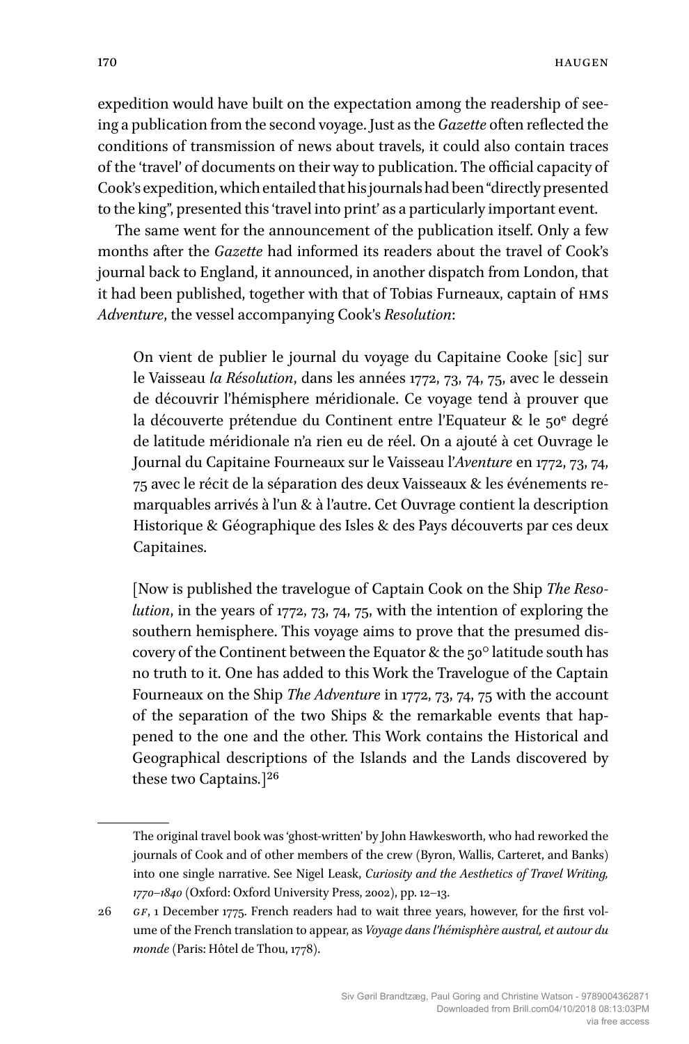expedition would have built on the expectation among the readership of seeing a publication from the second voyage. Just as the *Gazette* often reflected the conditions of transmission of news about travels, it could also contain traces of the 'travel' of documents on their way to publication. The official capacity of Cook's expedition, which entailed that his journals had been "directly presented to the king", presented this 'travel into print' as a particularly important event.

The same went for the announcement of the publication itself. Only a few months after the *Gazette* had informed its readers about the travel of Cook's journal back to England, it announced, in another dispatch from London, that it had been published, together with that of Tobias Furneaux, captain of hms *Adventure*, the vessel accompanying Cook's *Resolution*:

On vient de publier le journal du voyage du Capitaine Cooke [sic] sur le Vaisseau *la Résolution*, dans les années 1772, 73, 74, 75, avec le dessein de découvrir l'hémisphere méridionale. Ce voyage tend à prouver que la découverte prétendue du Continent entre l'Equateur & le 50<sup>e</sup> degré de latitude méridionale n'a rien eu de réel. On a ajouté à cet Ouvrage le Journal du Capitaine Fourneaux sur le Vaisseau l'*Aventure* en 1772, 73, 74, 75 avec le récit de la séparation des deux Vaisseaux & les événements remarquables arrivés à l'un & à l'autre. Cet Ouvrage contient la description Historique & Géographique des Isles & des Pays découverts par ces deux Capitaines.

[Now is published the travelogue of Captain Cook on the Ship *The Resolution*, in the years of 1772, 73, 74, 75, with the intention of exploring the southern hemisphere. This voyage aims to prove that the presumed discovery of the Continent between the Equator & the 50° latitude south has no truth to it. One has added to this Work the Travelogue of the Captain Fourneaux on the Ship *The Adventure* in 1772, 73, 74, 75 with the account of the separation of the two Ships & the remarkable events that happened to the one and the other. This Work contains the Historical and Geographical descriptions of the Islands and the Lands discovered by these two Captains.[\]26](#page-13-0)

The original travel book was 'ghost-written' by John Hawkesworth, who had reworked the journals of Cook and of other members of the crew (Byron, Wallis, Carteret, and Banks) into one single narrative. See Nigel Leask, *Curiosity and the Aesthetics of Travel Writing, 1770–1840* (Oxford: Oxford University Press, 2002), pp. 12–13.

<span id="page-13-0"></span><sup>26</sup> *gf*, 1 December 1775. French readers had to wait three years, however, for the first volume of the French translation to appear, as *Voyage dans l'hémisphère austral, et autour du monde* (Paris: Hôtel de Thou, 1778).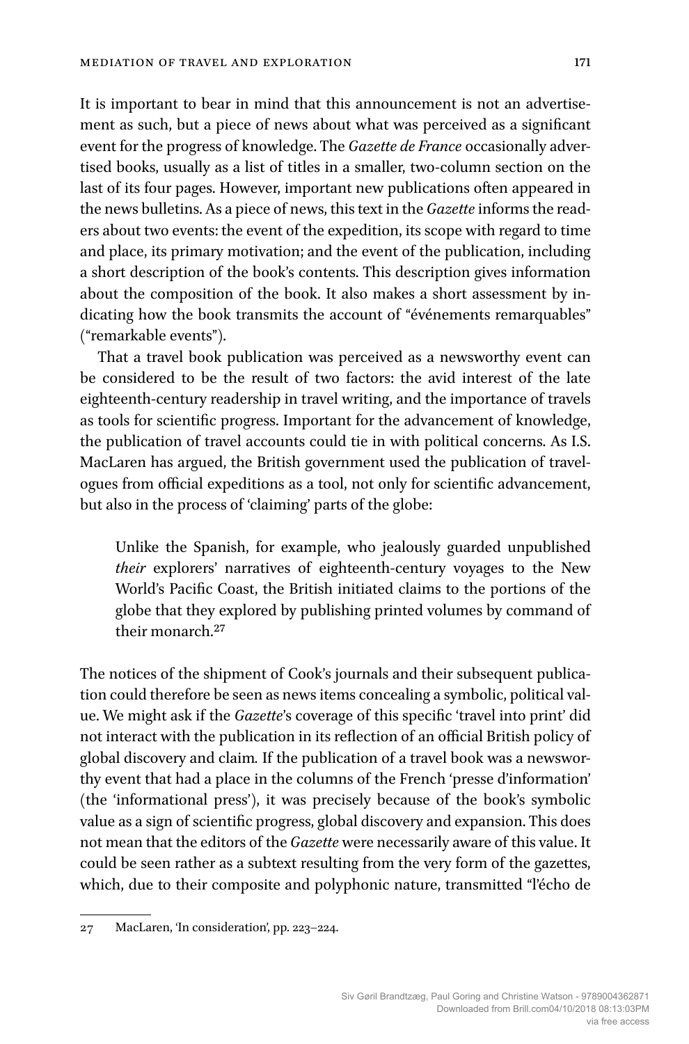It is important to bear in mind that this announcement is not an advertisement as such, but a piece of news about what was perceived as a significant event for the progress of knowledge. The *Gazette de France* occasionally advertised books, usually as a list of titles in a smaller, two-column section on the last of its four pages. However, important new publications often appeared in the news bulletins. As a piece of news, this text in the *Gazette* informs the readers about two events: the event of the expedition, its scope with regard to time and place, its primary motivation; and the event of the publication, including a short description of the book's contents. This description gives information about the composition of the book. It also makes a short assessment by indicating how the book transmits the account of "événements remarquables" ("remarkable events").

That a travel book publication was perceived as a newsworthy event can be considered to be the result of two factors: the avid interest of the late eighteenth-century readership in travel writing, and the importance of travels as tools for scientific progress. Important for the advancement of knowledge, the publication of travel accounts could tie in with political concerns. As I.S. MacLaren has argued, the British government used the publication of travelogues from official expeditions as a tool, not only for scientific advancement, but also in the process of 'claiming' parts of the globe:

Unlike the Spanish, for example, who jealously guarded unpublished *their* explorers' narratives of eighteenth-century voyages to the New World's Pacific Coast, the British initiated claims to the portions of the globe that they explored by publishing printed volumes by command of their monarch[.27](#page-14-0)

The notices of the shipment of Cook's journals and their subsequent publication could therefore be seen as news items concealing a symbolic, political value. We might ask if the *Gazette*'s coverage of this specific 'travel into print' did not interact with the publication in its reflection of an official British policy of global discovery and claim*.* If the publication of a travel book was a newsworthy event that had a place in the columns of the French 'presse d'information' (the 'informational press'), it was precisely because of the book's symbolic value as a sign of scientific progress, global discovery and expansion. This does not mean that the editors of the *Gazette* were necessarily aware of this value. It could be seen rather as a subtext resulting from the very form of the gazettes, which, due to their composite and polyphonic nature, transmitted "l'écho de

<span id="page-14-0"></span><sup>27</sup> MacLaren, 'In consideration', pp. 223–224.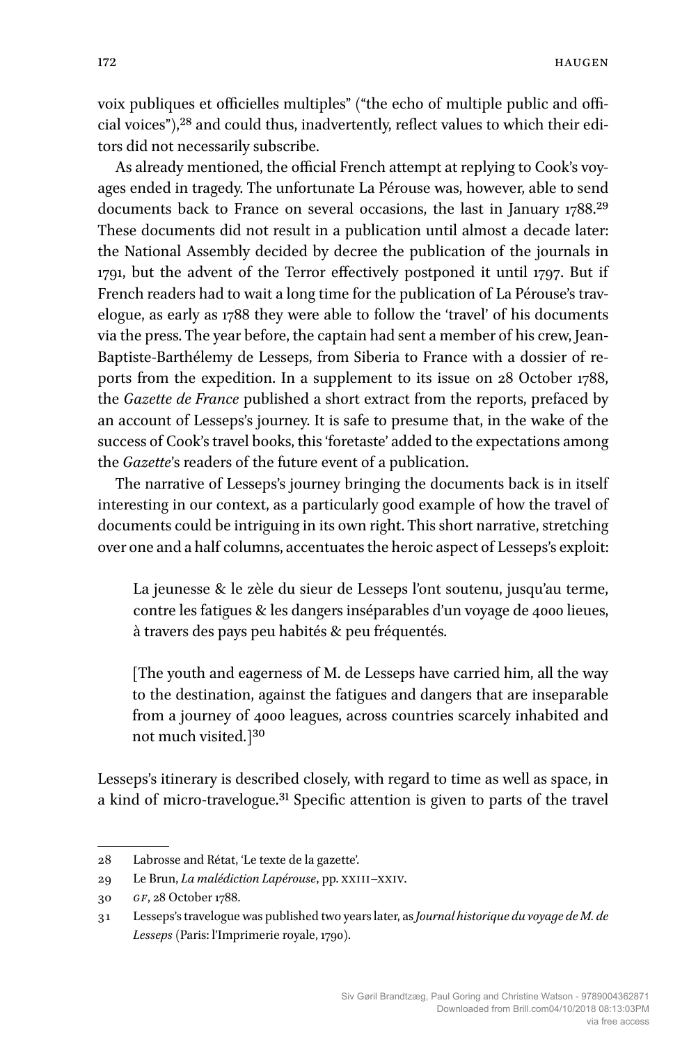voix publiques et officielles multiples" ("the echo of multiple public and official voices"),[28](#page-15-0) and could thus, inadvertently, reflect values to which their editors did not necessarily subscribe.

As already mentioned, the official French attempt at replying to Cook's voyages ended in tragedy. The unfortunate La Pérouse was, however, able to send documents back to France on several occasions, the last in January 1788.<sup>[29](#page-15-1)</sup> These documents did not result in a publication until almost a decade later: the National Assembly decided by decree the publication of the journals in 1791, but the advent of the Terror effectively postponed it until 1797. But if French readers had to wait a long time for the publication of La Pérouse's travelogue, as early as 1788 they were able to follow the 'travel' of his documents via the press. The year before, the captain had sent a member of his crew, Jean-Baptiste-Barthélemy de Lesseps, from Siberia to France with a dossier of reports from the expedition. In a supplement to its issue on 28 October 1788, the *Gazette de France* published a short extract from the reports, prefaced by an account of Lesseps's journey. It is safe to presume that, in the wake of the success of Cook's travel books, this 'foretaste' added to the expectations among the *Gazette*'s readers of the future event of a publication.

The narrative of Lesseps's journey bringing the documents back is in itself interesting in our context, as a particularly good example of how the travel of documents could be intriguing in its own right. This short narrative, stretching over one and a half columns, accentuates the heroic aspect of Lesseps's exploit:

La jeunesse & le zèle du sieur de Lesseps l'ont soutenu, jusqu'au terme, contre les fatigues & les dangers inséparables d'un voyage de 4000 lieues, à travers des pays peu habités & peu fréquentés.

[The youth and eagerness of M. de Lesseps have carried him, all the way to the destination, against the fatigues and dangers that are inseparable from a journey of 4000 leagues, across countries scarcely inhabited and not much visited.[\]30](#page-15-2)

Lesseps's itinerary is described closely, with regard to time as well as space, in a kind of micro-travelogue.<sup>31</sup> Specific attention is given to parts of the travel

<span id="page-15-0"></span><sup>28</sup> Labrosse and Rétat, 'Le texte de la gazette'.

<span id="page-15-1"></span><sup>29</sup> Le Brun, *La malédiction Lapérouse*, pp. xxiii–xxiv.

<span id="page-15-2"></span><sup>30</sup> *gf*, 28 October 1788.

<span id="page-15-3"></span><sup>31</sup> Lesseps's travelogue was published two years later, as *Journal historique du voyage de M. de Lesseps* (Paris: l'Imprimerie royale, 1790).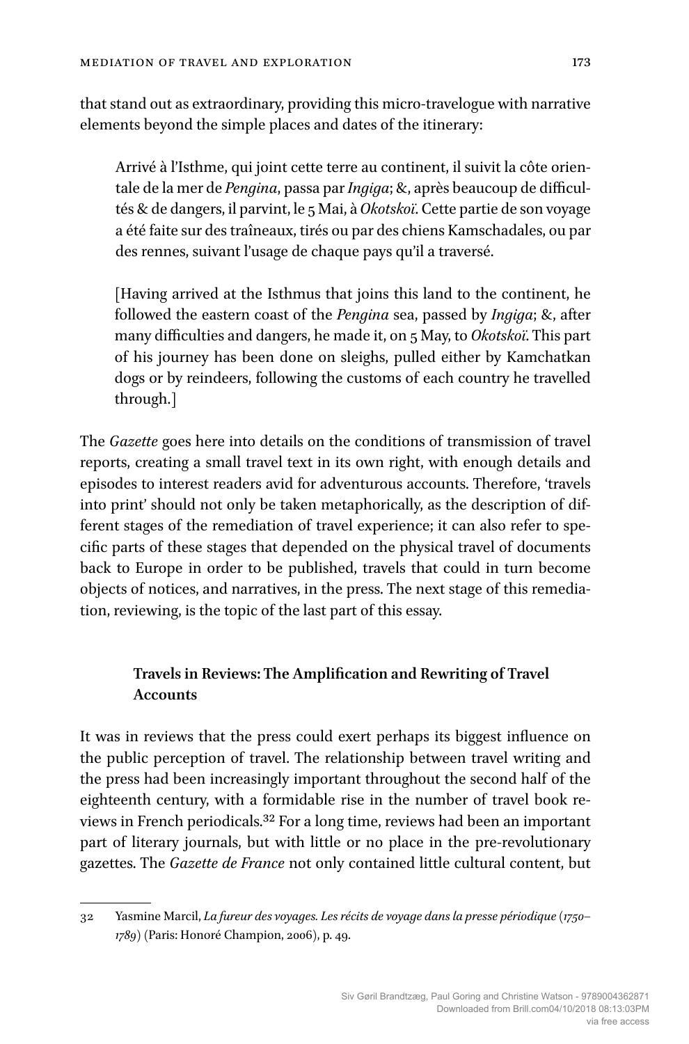that stand out as extraordinary, providing this micro-travelogue with narrative elements beyond the simple places and dates of the itinerary:

Arrivé à l'Isthme, qui joint cette terre au continent, il suivit la côte orientale de la mer de *Pengina*, passa par *Ingiga*; &, après beaucoup de difficultés & de dangers, il parvint, le 5 Mai, à *Okotskoï*. Cette partie de son voyage a été faite sur des traîneaux, tirés ou par des chiens Kamschadales, ou par des rennes, suivant l'usage de chaque pays qu'il a traversé.

[Having arrived at the Isthmus that joins this land to the continent, he followed the eastern coast of the *Pengina* sea, passed by *Ingiga*; &, after many difficulties and dangers, he made it, on 5 May, to *Okotskoï*. This part of his journey has been done on sleighs, pulled either by Kamchatkan dogs or by reindeers, following the customs of each country he travelled through.]

The *Gazette* goes here into details on the conditions of transmission of travel reports, creating a small travel text in its own right, with enough details and episodes to interest readers avid for adventurous accounts. Therefore, 'travels into print' should not only be taken metaphorically, as the description of different stages of the remediation of travel experience; it can also refer to specific parts of these stages that depended on the physical travel of documents back to Europe in order to be published, travels that could in turn become objects of notices, and narratives, in the press. The next stage of this remediation, reviewing, is the topic of the last part of this essay.

### **Travels in Reviews: The Amplification and Rewriting of Travel Accounts**

It was in reviews that the press could exert perhaps its biggest influence on the public perception of travel. The relationship between travel writing and the press had been increasingly important throughout the second half of the eighteenth century, with a formidable rise in the number of travel book reviews in French periodicals.[32](#page-16-0) For a long time, reviews had been an important part of literary journals, but with little or no place in the pre-revolutionary gazettes. The *Gazette de France* not only contained little cultural content, but

<span id="page-16-0"></span><sup>32</sup> Yasmine Marcil, *La fureur des voyages. Les récits de voyage dans la presse périodique (1750– 1789)* (Paris: Honoré Champion, 2006), p. 49.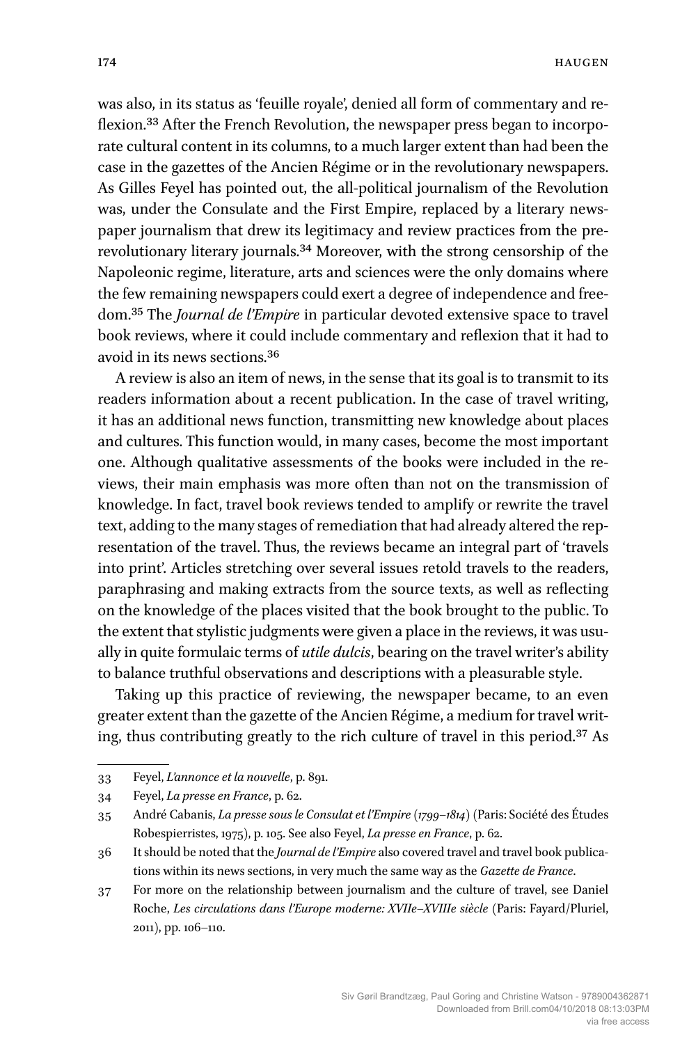was also, in its status as 'feuille royale', denied all form of commentary and re-flexion.<sup>[33](#page-17-0)</sup> After the French Revolution, the newspaper press began to incorporate cultural content in its columns, to a much larger extent than had been the case in the gazettes of the Ancien Régime or in the revolutionary newspapers. As Gilles Feyel has pointed out, the all-political journalism of the Revolution was, under the Consulate and the First Empire, replaced by a literary newspaper journalism that drew its legitimacy and review practices from the prerevolutionary literary journals[.34](#page-17-1) Moreover, with the strong censorship of the Napoleonic regime, literature, arts and sciences were the only domains where the few remaining newspapers could exert a degree of independence and freedom.[35](#page-17-2) The *Journal de l'Empire* in particular devoted extensive space to travel book reviews, where it could include commentary and reflexion that it had to avoid in its news sections[.36](#page-17-3)

A review is also an item of news, in the sense that its goal is to transmit to its readers information about a recent publication. In the case of travel writing, it has an additional news function, transmitting new knowledge about places and cultures. This function would, in many cases, become the most important one. Although qualitative assessments of the books were included in the reviews, their main emphasis was more often than not on the transmission of knowledge. In fact, travel book reviews tended to amplify or rewrite the travel text, adding to the many stages of remediation that had already altered the representation of the travel. Thus, the reviews became an integral part of 'travels into print'. Articles stretching over several issues retold travels to the readers, paraphrasing and making extracts from the source texts, as well as reflecting on the knowledge of the places visited that the book brought to the public. To the extent that stylistic judgments were given a place in the reviews, it was usually in quite formulaic terms of *utile dulcis*, bearing on the travel writer's ability to balance truthful observations and descriptions with a pleasurable style.

Taking up this practice of reviewing, the newspaper became, to an even greater extent than the gazette of the Ancien Régime, a medium for travel writing, thus contributing greatly to the rich culture of travel in this period[.37](#page-17-4) As

<span id="page-17-0"></span><sup>33</sup> Feyel, *L'annonce et la nouvelle*, p. 891.

<span id="page-17-1"></span><sup>34</sup> Feyel, *La presse en France*, p. 62.

<span id="page-17-2"></span><sup>35</sup> André Cabanis, *La presse sous le Consulat et l'Empire (1799–1814)* (Paris: Société des Études Robespierristes, 1975), p. 105. See also Feyel, *La presse en France*, p. 62.

<span id="page-17-3"></span><sup>36</sup> It should be noted that the *Journal de l'Empire* also covered travel and travel book publications within its news sections, in very much the same way as the *Gazette de France*.

<span id="page-17-4"></span><sup>37</sup> For more on the relationship between journalism and the culture of travel, see Daniel Roche, *Les circulations dans l'Europe moderne: XVIIe–XVIIIe siècle* (Paris: Fayard/Pluriel, 2011), pp. 106–110.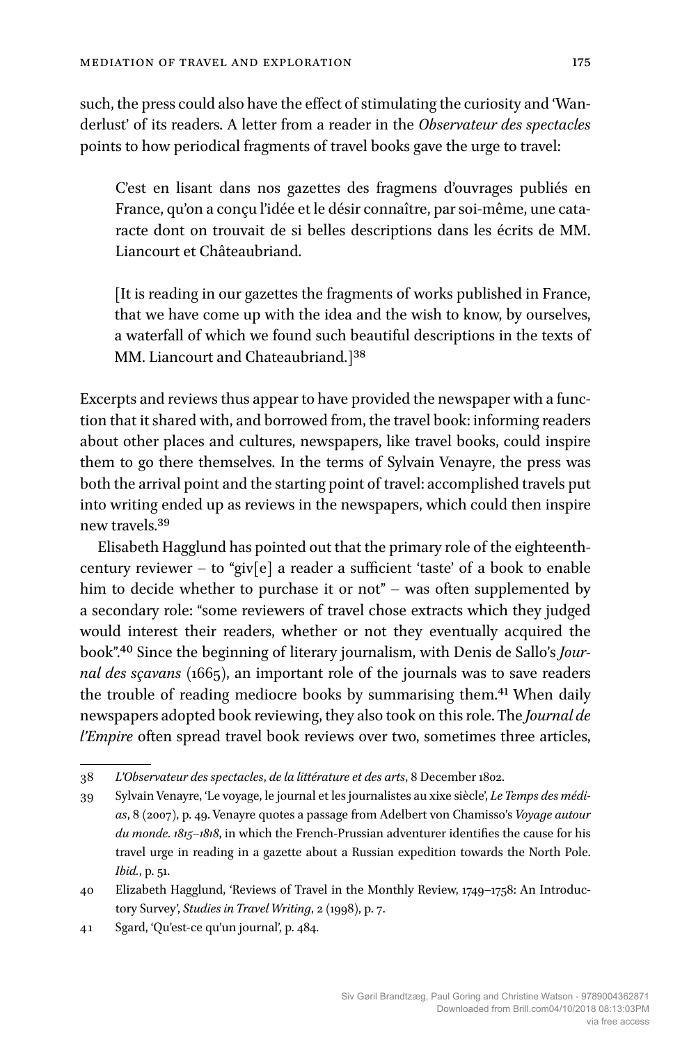such, the press could also have the effect of stimulating the curiosity and 'Wanderlust' of its readers. A letter from a reader in the *Observateur des spectacles* points to how periodical fragments of travel books gave the urge to travel:

C'est en lisant dans nos gazettes des fragmens d'ouvrages publiés en France, qu'on a conçu l'idée et le désir connaître, par soi-même, une cataracte dont on trouvait de si belles descriptions dans les écrits de MM. Liancourt et Châteaubriand.

[It is reading in our gazettes the fragments of works published in France, that we have come up with the idea and the wish to know, by ourselves, a waterfall of which we found such beautiful descriptions in the texts of MM. Liancourt and Chateaubriand.]<sup>[38](#page-18-0)</sup>

Excerpts and reviews thus appear to have provided the newspaper with a function that it shared with, and borrowed from, the travel book: informing readers about other places and cultures, newspapers, like travel books, could inspire them to go there themselves. In the terms of Sylvain Venayre, the press was both the arrival point and the starting point of travel: accomplished travels put into writing ended up as reviews in the newspapers, which could then inspire new travels.[39](#page-18-1)

Elisabeth Hagglund has pointed out that the primary role of the eighteenthcentury reviewer – to "giv[e] a reader a sufficient 'taste' of a book to enable him to decide whether to purchase it or not" – was often supplemented by a secondary role: "some reviewers of travel chose extracts which they judged would interest their readers, whether or not they eventually acquired the book".[40](#page-18-2) Since the beginning of literary journalism, with Denis de Sallo's *Journal des sçavans* (1665), an important role of the journals was to save readers the trouble of reading mediocre books by summarising them.<sup>[41](#page-18-3)</sup> When daily newspapers adopted book reviewing, they also took on this role. The *Journal de l'Empire* often spread travel book reviews over two, sometimes three articles,

<span id="page-18-0"></span><sup>38</sup> *L'Observateur des spectacles*, *de la littérature et des arts*, 8 December 1802.

<span id="page-18-1"></span><sup>39</sup> Sylvain Venayre, 'Le voyage, le journal et les journalistes au xixe siècle', *Le Temps des médias*, 8 (2007), p. 49. Venayre quotes a passage from Adelbert von Chamisso's *Voyage autour du monde. 1815–1818*, in which the French-Prussian adventurer identifies the cause for his travel urge in reading in a gazette about a Russian expedition towards the North Pole. *Ibid.*, p. 51.

<span id="page-18-2"></span><sup>40</sup> Elizabeth Hagglund, 'Reviews of Travel in the Monthly Review, 1749–1758: An Introductory Survey', *Studies in Travel Writing*, 2 (1998), p. 7.

<span id="page-18-3"></span><sup>41</sup> Sgard, 'Qu'est-ce qu'un journal', p. 484.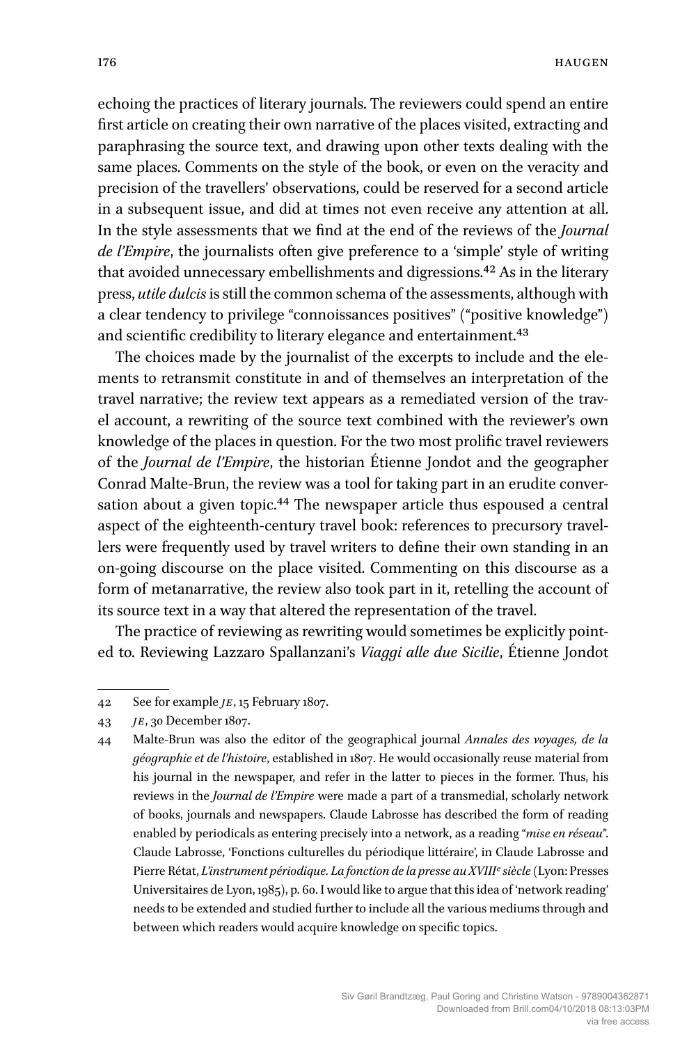echoing the practices of literary journals. The reviewers could spend an entire first article on creating their own narrative of the places visited, extracting and paraphrasing the source text, and drawing upon other texts dealing with the same places. Comments on the style of the book, or even on the veracity and precision of the travellers' observations, could be reserved for a second article in a subsequent issue, and did at times not even receive any attention at all. In the style assessments that we find at the end of the reviews of the *Journal de l'Empire*, the journalists often give preference to a 'simple' style of writing that avoided unnecessary embellishments and digressions[.42](#page-19-0) As in the literary press, *utile dulcis* is still the common schema of the assessments, although with a clear tendency to privilege "connoissances positives" ("positive knowledge") and scientific credibility to literary elegance and entertainment.<sup>[43](#page-19-1)</sup>

The choices made by the journalist of the excerpts to include and the elements to retransmit constitute in and of themselves an interpretation of the travel narrative; the review text appears as a remediated version of the travel account, a rewriting of the source text combined with the reviewer's own knowledge of the places in question. For the two most prolific travel reviewers of the *Journal de l'Empire*, the historian Étienne Jondot and the geographer Conrad Malte-Brun, the review was a tool for taking part in an erudite conversation about a given topic.<sup>44</sup> The newspaper article thus espoused a central aspect of the eighteenth-century travel book: references to precursory travellers were frequently used by travel writers to define their own standing in an on-going discourse on the place visited. Commenting on this discourse as a form of metanarrative, the review also took part in it, retelling the account of its source text in a way that altered the representation of the travel.

The practice of reviewing as rewriting would sometimes be explicitly pointed to. Reviewing Lazzaro Spallanzani's *Viaggi alle due Sicilie*, Étienne Jondot

<span id="page-19-0"></span><sup>42</sup> See for example *je*, 15 February 1807.

<span id="page-19-1"></span><sup>43</sup> *je*, 30 December 1807.

<span id="page-19-2"></span><sup>44</sup> Malte-Brun was also the editor of the geographical journal *Annales des voyages, de la géographie et de l'histoire*, established in 1807. He would occasionally reuse material from his journal in the newspaper, and refer in the latter to pieces in the former. Thus, his reviews in the *Journal de l'Empire* were made a part of a transmedial, scholarly network of books, journals and newspapers. Claude Labrosse has described the form of reading enabled by periodicals as entering precisely into a network, as a reading "*mise en réseau*". Claude Labrosse, 'Fonctions culturelles du périodique littéraire', in Claude Labrosse and Pierre Rétat, *L'instrument périodique. La fonction de la presse au XVIIIesiècle* (Lyon: Presses Universitaires de Lyon, 1985), p. 60. I would like to argue that this idea of 'network reading' needs to be extended and studied further to include all the various mediums through and between which readers would acquire knowledge on specific topics.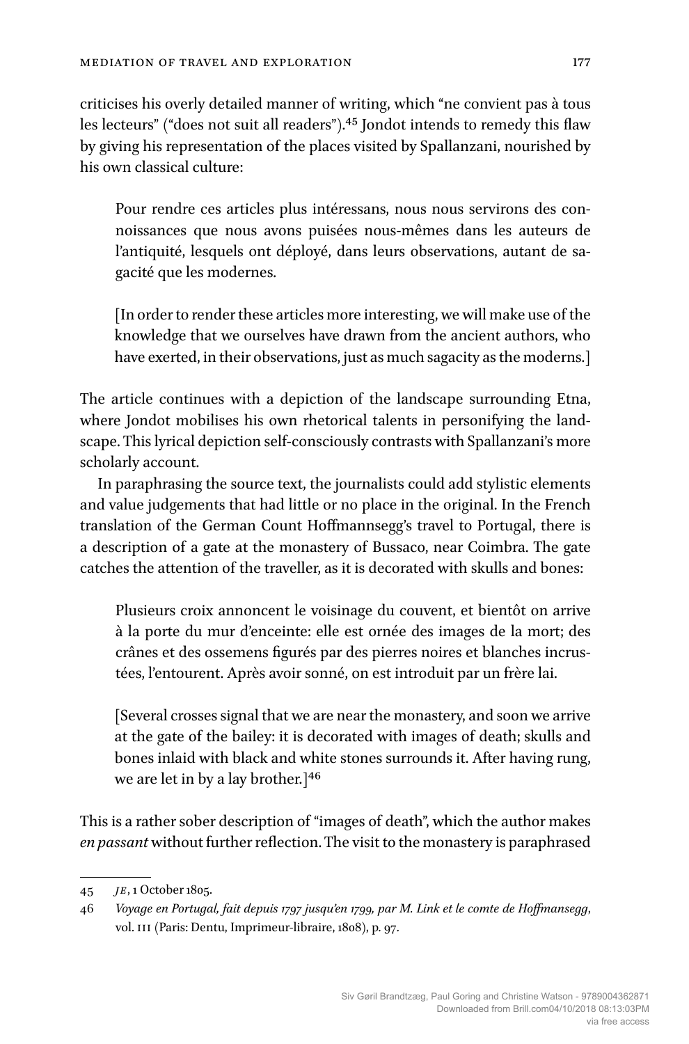criticises his overly detailed manner of writing, which "ne convient pas à tous les lecteurs" ("does not suit all readers").<sup>[45](#page-20-0)</sup> Jondot intends to remedy this flaw by giving his representation of the places visited by Spallanzani, nourished by his own classical culture:

Pour rendre ces articles plus intéressans, nous nous servirons des connoissances que nous avons puisées nous-mêmes dans les auteurs de l'antiquité, lesquels ont déployé, dans leurs observations, autant de sagacité que les modernes.

[In order to render these articles more interesting, we will make use of the knowledge that we ourselves have drawn from the ancient authors, who have exerted, in their observations, just as much sagacity as the moderns.]

The article continues with a depiction of the landscape surrounding Etna, where Jondot mobilises his own rhetorical talents in personifying the landscape. This lyrical depiction self-consciously contrasts with Spallanzani's more scholarly account.

In paraphrasing the source text, the journalists could add stylistic elements and value judgements that had little or no place in the original. In the French translation of the German Count Hoffmannsegg's travel to Portugal, there is a description of a gate at the monastery of Bussaco, near Coimbra. The gate catches the attention of the traveller, as it is decorated with skulls and bones:

Plusieurs croix annoncent le voisinage du couvent, et bientôt on arrive à la porte du mur d'enceinte: elle est ornée des images de la mort; des crânes et des ossemens figurés par des pierres noires et blanches incrustées, l'entourent. Après avoir sonné, on est introduit par un frère lai.

[Several crosses signal that we are near the monastery, and soon we arrive at the gate of the bailey: it is decorated with images of death; skulls and bones inlaid with black and white stones surrounds it. After having rung, we are let in by a lay brother.][46](#page-20-1)

This is a rather sober description of "images of death", which the author makes *en passant* without further reflection. The visit to the monastery is paraphrased

<span id="page-20-0"></span><sup>45</sup> *je*, 1 October 1805.

<span id="page-20-1"></span><sup>46</sup> *Voyage en Portugal, fait depuis 1797 jusqu'en 1799, par M. Link et le comte de Hoffmansegg*, vol. III (Paris: Dentu, Imprimeur-libraire, 1808), p. 97.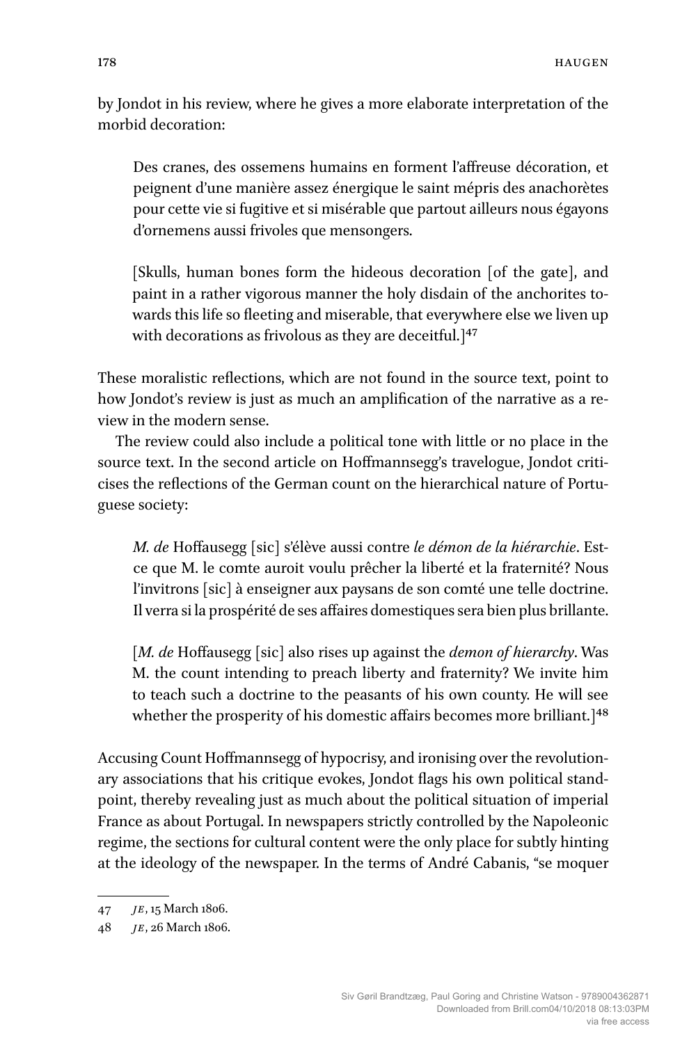by Jondot in his review, where he gives a more elaborate interpretation of the morbid decoration:

Des cranes, des ossemens humains en forment l'affreuse décoration, et peignent d'une manière assez énergique le saint mépris des anachorètes pour cette vie si fugitive et si misérable que partout ailleurs nous égayons d'ornemens aussi frivoles que mensongers.

[Skulls, human bones form the hideous decoration [of the gate], and paint in a rather vigorous manner the holy disdain of the anchorites towards this life so fleeting and miserable, that everywhere else we liven up with decorations as frivolous as they are deceitful.<sup>[47</sup>]

These moralistic reflections, which are not found in the source text, point to how Jondot's review is just as much an amplification of the narrative as a review in the modern sense.

The review could also include a political tone with little or no place in the source text. In the second article on Hoffmannsegg's travelogue, Jondot criticises the reflections of the German count on the hierarchical nature of Portuguese society:

*M. de* Hoffausegg [sic] s'élève aussi contre *le démon de la hiérarchie*. Estce que M. le comte auroit voulu prêcher la liberté et la fraternité? Nous l'invitrons [sic] à enseigner aux paysans de son comté une telle doctrine. Il verra si la prospérité de ses affaires domestiques sera bien plus brillante.

[*M. de* Hoffausegg [sic] also rises up against the *demon of hierarchy*. Was M. the count intending to preach liberty and fraternity? We invite him to teach such a doctrine to the peasants of his own county. He will see whether the prosperity of his domestic affairs becomes more brilliant.<sup>[48]</sup>

Accusing Count Hoffmannsegg of hypocrisy, and ironising over the revolutionary associations that his critique evokes, Jondot flags his own political standpoint, thereby revealing just as much about the political situation of imperial France as about Portugal. In newspapers strictly controlled by the Napoleonic regime, the sections for cultural content were the only place for subtly hinting at the ideology of the newspaper. In the terms of André Cabanis, "se moquer

<span id="page-21-0"></span><sup>47</sup> *je*, 15 March 1806.

<span id="page-21-1"></span><sup>48</sup> *je*, 26 March 1806.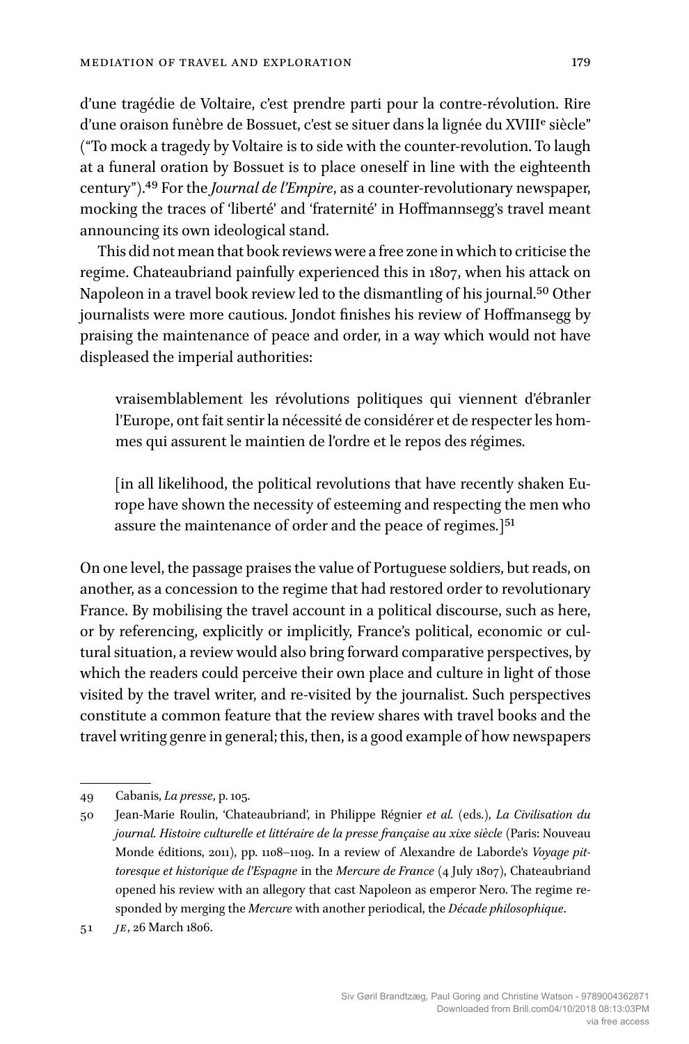d'une tragédie de Voltaire, c'est prendre parti pour la contre-révolution. Rire d'une oraison funèbre de Bossuet, c'est se situer dans la lignée du XVIIIe siècle" ("To mock a tragedy by Voltaire is to side with the counter-revolution. To laugh at a funeral oration by Bossuet is to place oneself in line with the eighteenth century").[49](#page-22-0) For the *Journal de l'Empire*, as a counter-revolutionary newspaper, mocking the traces of 'liberté' and 'fraternité' in Hoffmannsegg's travel meant announcing its own ideological stand.

This did not mean that book reviews were a free zone in which to criticise the regime. Chateaubriand painfully experienced this in 1807, when his attack on Napoleon in a travel book review led to the dismantling of his journal.<sup>50</sup> Other journalists were more cautious. Jondot finishes his review of Hoffmansegg by praising the maintenance of peace and order, in a way which would not have displeased the imperial authorities:

vraisemblablement les révolutions politiques qui viennent d'ébranler l'Europe, ont fait sentir la nécessité de considérer et de respecter les hommes qui assurent le maintien de l'ordre et le repos des régimes.

[in all likelihood, the political revolutions that have recently shaken Europe have shown the necessity of esteeming and respecting the men who assure the maintenance of order and the peace of regimes.<sup>[51</sup>]

On one level, the passage praises the value of Portuguese soldiers, but reads, on another, as a concession to the regime that had restored order to revolutionary France. By mobilising the travel account in a political discourse, such as here, or by referencing, explicitly or implicitly, France's political, economic or cultural situation, a review would also bring forward comparative perspectives, by which the readers could perceive their own place and culture in light of those visited by the travel writer, and re-visited by the journalist. Such perspectives constitute a common feature that the review shares with travel books and the travel writing genre in general; this, then, is a good example of how newspapers

<span id="page-22-0"></span><sup>49</sup> Cabanis, *La presse*, p. 105.

<span id="page-22-1"></span><sup>50</sup> Jean-Marie Roulin, 'Chateaubriand', in Philippe Régnier *et al.* (eds.), *La Civilisation du journal. Histoire culturelle et littéraire de la presse française au xixe siècle* (Paris: Nouveau Monde éditions, 2011), pp. 1108–1109. In a review of Alexandre de Laborde's *Voyage pittoresque et historique de l'Espagne* in the *Mercure de France* (4 July 1807), Chateaubriand opened his review with an allegory that cast Napoleon as emperor Nero. The regime responded by merging the *Mercure* with another periodical, the *Décade philosophique*.

<span id="page-22-2"></span><sup>51</sup> *je*, 26 March 1806.